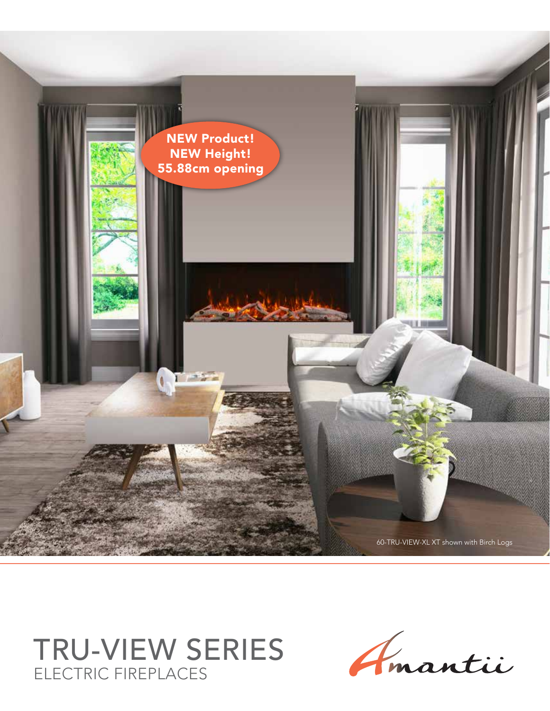

TRU-VIEW SERIES ELECTRIC FIREPLACES

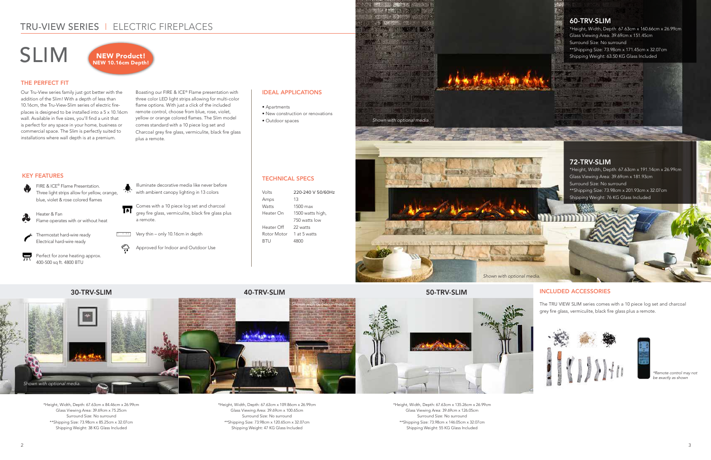## TRU-VIEW SERIES I ELECTRIC FIREPLACES

SLIM

### KEY FEATURES

#### THE PERFECT FIT

#### INCLUDED ACCESSORIES

TECHNICAL SPECS

Rotor Motor 1 at 5 watts BTU 4800

| Volts       | 220-240 V 50/60Hz |
|-------------|-------------------|
| Amps        | 13                |
| Watts       | $1500$ max        |
| Heater On   | 1500 watts high,  |
|             | 750 watts low     |
| Heater Off  | 22 watts          |
| Rotor Motor | 1 at 5 watts      |

#### IDEAL APPLICATIONS

믔 Perfect for zone heating approx. 400-500 sq ft. 4800 BTU

- Apartments
- New construction or renovations
- Outdoor spaces



Comes with a 10 piece log set and charcoal grey fire glass, vermiculite, black fire glass plus a remote.

Very thin – only 10.16cm in depth

Heater & Fan Flame operates with or without heat





⇔

Approved for Indoor and Outdoor Use

The TRU VIEW SLIM series comes with a 10 piece log set and charcoal grey fire glass, vermiculite, black fire glass plus a remote.





\*Remote control may not be exactly as shown

Our Tru-View series family just got better with the addition of the Slim! With a depth of less than 10.16cm, the Tru-View-Slim series of electric fireplaces is designed to be installed into a 5 x 10.16cm wall. Available in five sizes, you'll find a unit that is perfect for any space in your home, business or commercial space. The Slim is perfectly suited to installations where wall depth is at a premium.

Boasting our FIRE & ICE® Flame presentation with three color LED light strips allowing for multi-color flame options. With just a click of the included remote control, choose from blue, rose, violet, yellow or orange colored flames. The Slim model comes standard with a 10 piece log set and Charcoal grey fire glass, vermiculite, black fire glass plus a remote.



#### 60-TRV-SLIM



\*Height, Width, Depth: 67.63cm x 160.66cm x 26.99cm Glass Viewing Area: 39.69cm x 151.45cm Surround Size: No surround \*\*Shipping Size: 73.98cm x 171.45cm x 32.07cm Shipping Weight: 63.50 KG Glass Included

#### 72-TRV-SLIM

\*Height, Width, Depth: 67.63cm x 191.14cm x 26.99cm Glass Viewing Area: 39.69cm x 181.93cm Surround Size: No surround \*\*Shipping Size: 73.98cm x 201.93cm x 32.07cm Shipping Weight: 76 KG Glass Included

标志

\*Height, Width, Depth: 67.63cm x 84.46cm x 26.99cm Glass Viewing Area: 39.69cm x 75.25cm Surround Size: No surround \*\*Shipping Size: 73.98cm x 85.25cm x 32.07cm Shipping Weight: 38 KG Glass Included

\*Height, Width, Depth: 67.63cm x 109.86cm x 26.99cm Glass Viewing Area: 39.69cm x 100.65cm Surround Size: No surround \*\*Shipping Size: 73.98cm x 120.65cm x 32.07cm Shipping Weight: 47 KG Glass Included

\*Height, Width, Depth: 67.63cm x 135.26cm x 26.99cm Glass Viewing Area: 39.69cm x 126.05cm Surround Size: No surround \*\*Shipping Size: 73.98cm x 146.05cm x 32.07cm Shipping Weight: 55 KG Glass Included



**BEATER FORENOTES**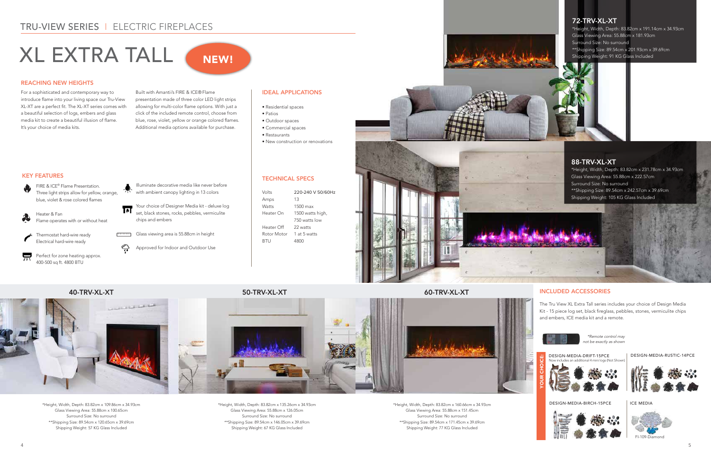# TRU-VIEW SERIES I ELECTRIC FIREPLACES

# XL EXTRA TALL

### KEY FEATURES

#### REACHING NEW HEIGHTS

#### INCLUDED ACCESSORIES

TECHNICAL SPECS

Volts 220-240 V 50/60Hz





| Amps         | 13               |
|--------------|------------------|
| <b>Watts</b> | $1500$ max       |
| Heater On    | 1500 watts high, |
|              | 750 watts low    |
| Heater Off   | 22 watts         |
| Rotor Motor  | 1 at 5 watts     |
| BTU          | 4800             |
|              |                  |
|              |                  |

For a sophisticated and contemporary way to introduce flame into your living space our Tru-View XL-XT are a perfect fit. The XL-XT series comes with a beautiful selection of logs, embers and glass media kit to create a beautiful illusion of flame. It's your choice of media kits.

Built with Amantii's FIRE & ICE® Flame presentation made of three color LED light strips allowing for multi-color flame options. With just a click of the included remote control, choose from blue, rose, violet, yellow or orange colored flames. Additional media options available for purchase.

Your choice of Designer Media kit - deluxe log<br>
A Cost kit is the contract of Designer Media kit - deluxe log set, black stones, rocks, pebbles, vermiculite chips and embers

Glass viewing area is 55.88cm in height

#### IDEAL APPLICATIONS

- Residential spaces
- Patios
- Outdoor spaces
- Commercial spaces
- Restaurants

• New construction or renovations

FIRE & ICE® Flame Presentation. Three light strips allow for yellow, orange, blue, violet & rose colored flames

Heater & Fan Flame operates with or without heat

Thermostat hard-wire ready Electrical hard-wire ready



Perfect for zone heating approx. 400-500 sq ft. 4800 BTU

Illuminate decorative media like never before with ambient canopy lighting in 13 colors

Approved for Indoor and Outdoor Use

The Tru View XL Extra Tall series includes your choice of Design Media Kit - 15 piece log set, black fireglass, pebbles, stones, vermiculite chips and embers, ICE media kit and a remote.

DESIGN-MEDIA-RUSTIC-14PCE





#### ICE MEDIA



FI-109-Diamond

\*Remote control may

YOUR CHOICE:



#### 40-TRV-XL-XT 50-TRV-XL-XT 60-TRV-XL-XT

⇔



NEW!

\*Height, Width, Depth: 83.82cm x 109.86cm x 34.93cm Glass Viewing Area: 55.88cm x 100.65cm Surround Size: No surround \*\*Shipping Size: 89.54cm x 120.65cm x 39.69cm Shipping Weight: 57 KG Glass Included

\*Height, Width, Depth: 83.82cm x 135.26cm x 34.93cm Glass Viewing Area: 55.88cm x 126.05cm Surround Size: No surround \*\*Shipping Size: 89.54cm x 146.05cm x 39.69cm Shipping Weight: 67 KG Glass Included

\*Height, Width, Depth: 83.82cm x 160.66cm x 34.93cm Glass Viewing Area: 55.88cm x 151.45cm Surround Size: No surround \*\*Shipping Size: 89.54cm x 171.45cm x 39.69cm Shipping Weight: 77 KG Glass Included

#### 72-TRV-XL-XT

\*Height, Width, Depth: 83.82cm x 191.14cm x 34.93cm Glass Viewing Area: 55.88cm x 181.93cm Surround Size: No surround \*\*Shipping Size: 89.54cm x 201.93cm x 39.69cm Shipping Weight: 91 KG Glass Included

#### 88-TRV-XL-XT

\*Height, Width, Depth: 83.82cm x 231.78cm x 34.93cm Glass Viewing Area: 55.88cm x 222.57cm Surround Size: No surround \*\*Shipping Size: 89.54cm x 242.57cm x 39.69cm Shipping Weight: 105 KG Glass Included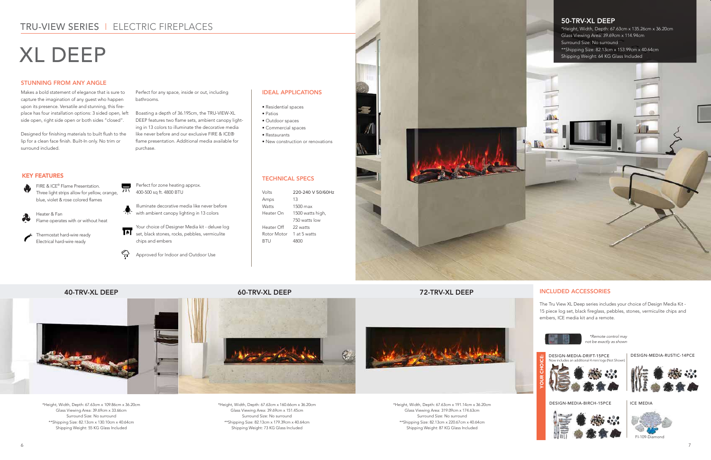## TRU-VIEW SERIES I ELECTRIC FIREPLACES

# XL DEEP

#### KEY FEATURES

#### STUNNING FROM ANY ANGLE

#### INCLUDED ACCESSORIES

#### TECHNICAL SPECS

| Volts                    | 220-240 V 50/60Hz |
|--------------------------|-------------------|
| Amps                     | 13                |
| Watts                    | $1500$ max        |
| Heater On                | 1500 watts high,  |
|                          | 750 watts low     |
| Heater Off               | 22 watts          |
| Rotor Motor 1 at 5 watts |                   |
| BTU                      | 4800              |
|                          |                   |



Makes a bold statement of elegance that is sure to capture the imagination of any guest who happen upon its presence. Versatile and stunning, this fireplace has four installation options: 3 sided open, left side open, right side open or both sides "closed".

Designed for finishing materials to built flush to the lip for a clean face finish. Built-In only. No trim or surround included.

Perfect for any space, inside or out, including bathrooms.

Boasting a depth of 36.195cm, the TRU-VIEW-XL DEEP features two flame sets, ambient canopy lighting in 13 colors to illuminate the decorative media like never before and our exclusive FIRE & ICE® flame presentation. Additional media available for purchase.

#### IDEAL APPLICATIONS

- Residential spaces
- Patios
- Outdoor spaces
- Commercial spaces
- Restaurants
- New construction or renovations

The Tru View XL Deep series includes your choice of Design Media Kit - 15 piece log set, black fireglass, pebbles, stones, vermiculite chips and embers, ICE media kit and a remote.

Your choice of Designer Media kit - deluxe log Sour choice of Dealgrich Medicines, vermiculite<br>Set, black stones, rocks, pebbles, vermiculite





FI-109-Diamond

#### 40-TRV-XL DEEP 60-TRV-XL DEEP 72-TRV-XL DEEP



#### 50-TRV-XL DEEP

\*Height, Width, Depth: 67.63cm x 135.26cm x 36.20cm Glass Viewing Area: 39.69cm x 114.94cm Surround Size: No surround \*\*Shipping Size: 82.13cm x 153.99cm x 40.64cm Shipping Weight: 64 KG Glass Included

\*Height, Width, Depth: 67.63cm x 109.86cm x 36.20cm Glass Viewing Area: 39.69cm x 33.66cm Surround Size: No surround \*\*Shipping Size: 82.13cm x 130.10cm x 40.64cm Shipping Weight: 55 KG Glass Included

\*Height, Width, Depth: 67.63cm x 160.66cm x 36.20cm Glass Viewing Area: 39.69cm x 151.45cm Surround Size: No surround \*\*Shipping Size: 82.13cm x 179.39cm x 40.64cm Shipping Weight: 73 KG Glass Included

\*Height, Width, Depth: 67.63cm x 191.14cm x 36.20cm Glass Viewing Area: 319.09cm x 174.63cm Surround Size: No surround \*\*Shipping Size: 82.13cm x 220.67cm x 40.64cm Shipping Weight: 87 KG Glass Included

FIRE & ICE® Flame Presentation.  $\bullet$ Three light strips allow for yellow, orange, blue, violet & rose colored flames

Heater & Fan Flame operates with or without heat

Thermostat hard-wire ready Electrical hard-wire ready

Perfect for zone heating approx. 400-500 sq ft. 4800 BTU

Illuminate decorative media like never before with ambient canopy lighting in 13 colors

chips and embers

믔

⇔

Approved for Indoor and Outdoor Use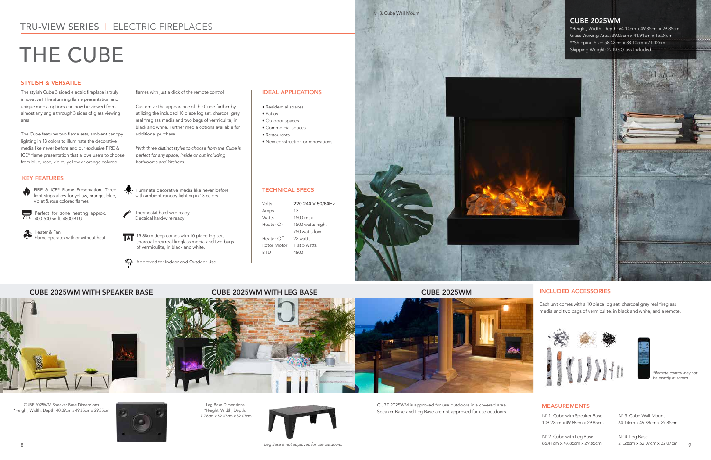FIRE & ICE® Flame Presentation. Three light strips allow for yellow, orange, blue, violet & rose colored flames

Heater & Fan Flame operates with or without heat

Perfect for zone heating approx. 400-500 sq ft. 4800 BTU

- Illuminate decorative media like never before with ambient canopy lighting in 13 colors
- Thermostat hard-wire ready Electrical hard-wire ready

Nº 1. Cube with Speaker Base 109.22cm x 49.88cm x 29.85cm

Nº 2. Cube with Leg Base 85.41cm x 49.85cm x 29.85cm

Nº 3. Cube Wall Mount 64.14cm x 49.88cm x 29.85cm

Nº 4. Leg Base 21.28cm x 52.07cm x 32.07cm g

15.88cm deep comes with 10 piece log set, ल charcoal grey real fireglass media and two bags of vermiculite, in black and white.

Approved for Indoor and Outdoor Use

# TRU-VIEW SERIES I ELECTRIC FIREPLACES

# THE CUBE

#### KEY FEATURES

#### STYLISH & VERSATILE

#### TECHNICAL SPECS

#### MEASUREMENTS

| Volts                     | 220-240 V 50/60Hz |
|---------------------------|-------------------|
| Amps                      | 13                |
| Watts                     | 1500 max          |
| Heater On                 | 1500 watts high,  |
|                           | 750 watts low     |
| Heater Off                | 22 watts          |
| Rotor Motor  1 at 5 watts |                   |
| BTU                       | 4800              |
|                           |                   |

Nº 3. Cube Wall Mount



The stylish Cube 3 sided electric fireplace is truly innovative! The stunning flame presentation and unique media options can now be viewed from almost any angle through 3 sides of glass viewing area.

 $\epsilon$  1.28cm  $\times$  1.28cm  $\times$  1.28cm  $\times$  1.28cm  $\times$  1.28cm  $\times$  1.28cm  $\times$  1.28cm  $\times$  1.28cm  $\times$  1.28cm  $\times$  1.28cm  $\times$  1.28cm  $\times$  1.28cm  $\times$  1.28cm  $\times$  1.28cm  $\times$  1.28cm  $\times$  1.28cm  $\times$  1.28cm  $\times$  1.28cm  $\times$  *Leg Base is not approved for use outdoors.*

The Cube features two flame sets, ambient canopy lighting in 13 colors to illuminate the decorative media like never before and our exclusive FIRE & ICE® flame presentation that allows users to choose from blue, rose, violet, yellow or orange colored

flames with just a click of the remote control

Customize the appearance of the Cube further by utilizing the included 10 piece log set, charcoal grey real fireglass media and two bags of vermiculite, in black and white. Further media options available for additional purchase.

*With three distinct styles to choose from the Cube is perfect for any space, inside or out including bathrooms and kitchens.*

#### IDEAL APPLICATIONS

- Residential spaces
- Patios
- Outdoor spaces
- Commercial spaces
- Restaurants
- New construction or renovations

CUBE 2025WM Speaker Base Dimensions \*Height, Width, Depth: 40.09cm x 49.85cm x 29.85cm



Leg Base Dimensions \*Height, Width, Depth: 17.78cm x 52.07cm x 32.07cm



CUBE 2025WM is approved for use outdoors in a covered area. Speaker Base and Leg Base are not approved for use outdoors.

#### CUBE 2025WM WITH SPEAKER BASE CUBE 2025WM WITH LEG BASE CUBE 2025WM



#### INCLUDED ACCESSORIES

Each unit comes with a 10 piece log set, charcoal grey real fireglass media and two bags of vermiculite, in black and white, and a remote.





\*Remote control may not be exactly as shown

#### CUBE 2025WM

\*Height, Width, Depth: 64.14cm x 49.85cm x 29.85cm Glass Viewing Area: 39.05cm x 41.91cm x 15.24cm \*\*Shipping Size: 58.42cm x 38.10cm x 71.12cm Shipping Weight: 27 KG Glass Included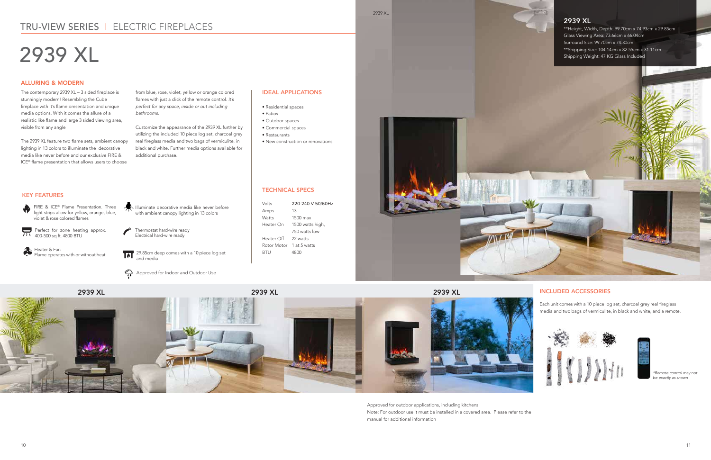



**C** 

29.85cm deep comes with a 10 piece log set and media





Amps 13 Watts 1500 max Heater On 1500 watts high, 750 watts low Heater Off 22 watts Rotor Motor 1 at 5 watts BTU 4800

## TRU-VIEW SERIES I ELECTRIC FIREPLACES

# 2939 XL

### KEY FEATURES

#### ALLURING & MODERN

TECHNICAL SPECS

Volts 220-240 V 50/60Hz

The contemporary 2939 XL – 3 sided fireplace is stunningly modern! Resembling the Cube fireplace with it's flame presentation and unique media options. With it comes the allure of a realistic like flame and large 3 sided viewing area, visible from any angle

The 2939 XL feature two flame sets, ambient canopy lighting in 13 colors to illuminate the decorative media like never before and our exclusive FIRE & ICE® flame presentation that allows users to choose

from blue, rose, violet, yellow or orange colored flames with just a click of the remote control. *It's perfect for any space, inside or out including bathrooms.*

Customize the appearance of the 2939 XL further by utilizing the included 10 piece log set, charcoal grey real fireglass media and two bags of vermiculite, in black and white. Further media options available for additional purchase.

#### IDEAL APPLICATIONS

- Residential spaces
- Patios
- Outdoor spaces
- Commercial spaces
- Restaurants

• New construction or renovations



Approved for outdoor applications, including kitchens. Note: For outdoor use it must be installed in a covered area. Please refer to the manual for additional information





2939 XL

### INCLUDED ACCESSORIES

Each unit comes with a 10 piece log set, charcoal grey real fireglass media and two bags of vermiculite, in black and white, and a remote.





\*Remote control may not be exactly as shown

#### 2939 XL

\*\*Height, Width, Depth: 99.70cm x 74.93cm x 29.85cm Glass Viewing Area: 73.66cm x 66.04cm Surround Size: 99.70cm x 74.30cm \*\*Shipping Size: 104.14cm x 82.55cm x 31.11cm Shipping Weight: 47 KG Glass Included